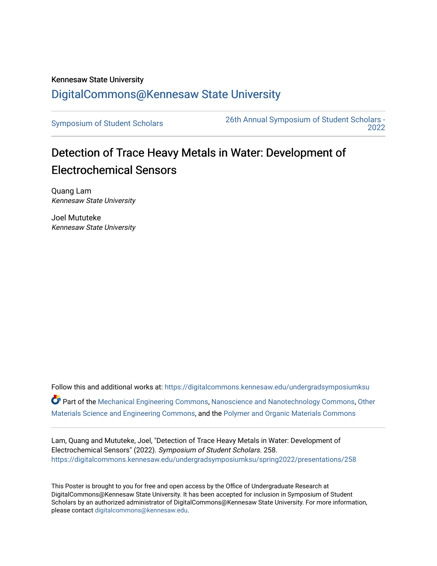## Kennesaw State University [DigitalCommons@Kennesaw State University](https://digitalcommons.kennesaw.edu/)

[Symposium of Student Scholars](https://digitalcommons.kennesaw.edu/undergradsymposiumksu) [26th Annual Symposium of Student Scholars -](https://digitalcommons.kennesaw.edu/undergradsymposiumksu/spring2022)  [2022](https://digitalcommons.kennesaw.edu/undergradsymposiumksu/spring2022) 

## Detection of Trace Heavy Metals in Water: Development of Electrochemical Sensors

Quang Lam Kennesaw State University

Joel Mututeke Kennesaw State University

Follow this and additional works at: [https://digitalcommons.kennesaw.edu/undergradsymposiumksu](https://digitalcommons.kennesaw.edu/undergradsymposiumksu?utm_source=digitalcommons.kennesaw.edu%2Fundergradsymposiumksu%2Fspring2022%2Fpresentations%2F258&utm_medium=PDF&utm_campaign=PDFCoverPages)  Part of the [Mechanical Engineering Commons,](http://network.bepress.com/hgg/discipline/293?utm_source=digitalcommons.kennesaw.edu%2Fundergradsymposiumksu%2Fspring2022%2Fpresentations%2F258&utm_medium=PDF&utm_campaign=PDFCoverPages) [Nanoscience and Nanotechnology Commons](http://network.bepress.com/hgg/discipline/313?utm_source=digitalcommons.kennesaw.edu%2Fundergradsymposiumksu%2Fspring2022%2Fpresentations%2F258&utm_medium=PDF&utm_campaign=PDFCoverPages), [Other](http://network.bepress.com/hgg/discipline/292?utm_source=digitalcommons.kennesaw.edu%2Fundergradsymposiumksu%2Fspring2022%2Fpresentations%2F258&utm_medium=PDF&utm_campaign=PDFCoverPages)  [Materials Science and Engineering Commons](http://network.bepress.com/hgg/discipline/292?utm_source=digitalcommons.kennesaw.edu%2Fundergradsymposiumksu%2Fspring2022%2Fpresentations%2F258&utm_medium=PDF&utm_campaign=PDFCoverPages), and the [Polymer and Organic Materials Commons](http://network.bepress.com/hgg/discipline/289?utm_source=digitalcommons.kennesaw.edu%2Fundergradsymposiumksu%2Fspring2022%2Fpresentations%2F258&utm_medium=PDF&utm_campaign=PDFCoverPages) 

Lam, Quang and Mututeke, Joel, "Detection of Trace Heavy Metals in Water: Development of Electrochemical Sensors" (2022). Symposium of Student Scholars. 258. [https://digitalcommons.kennesaw.edu/undergradsymposiumksu/spring2022/presentations/258](https://digitalcommons.kennesaw.edu/undergradsymposiumksu/spring2022/presentations/258?utm_source=digitalcommons.kennesaw.edu%2Fundergradsymposiumksu%2Fspring2022%2Fpresentations%2F258&utm_medium=PDF&utm_campaign=PDFCoverPages)

This Poster is brought to you for free and open access by the Office of Undergraduate Research at DigitalCommons@Kennesaw State University. It has been accepted for inclusion in Symposium of Student Scholars by an authorized administrator of DigitalCommons@Kennesaw State University. For more information, please contact [digitalcommons@kennesaw.edu.](mailto:digitalcommons@kennesaw.edu)